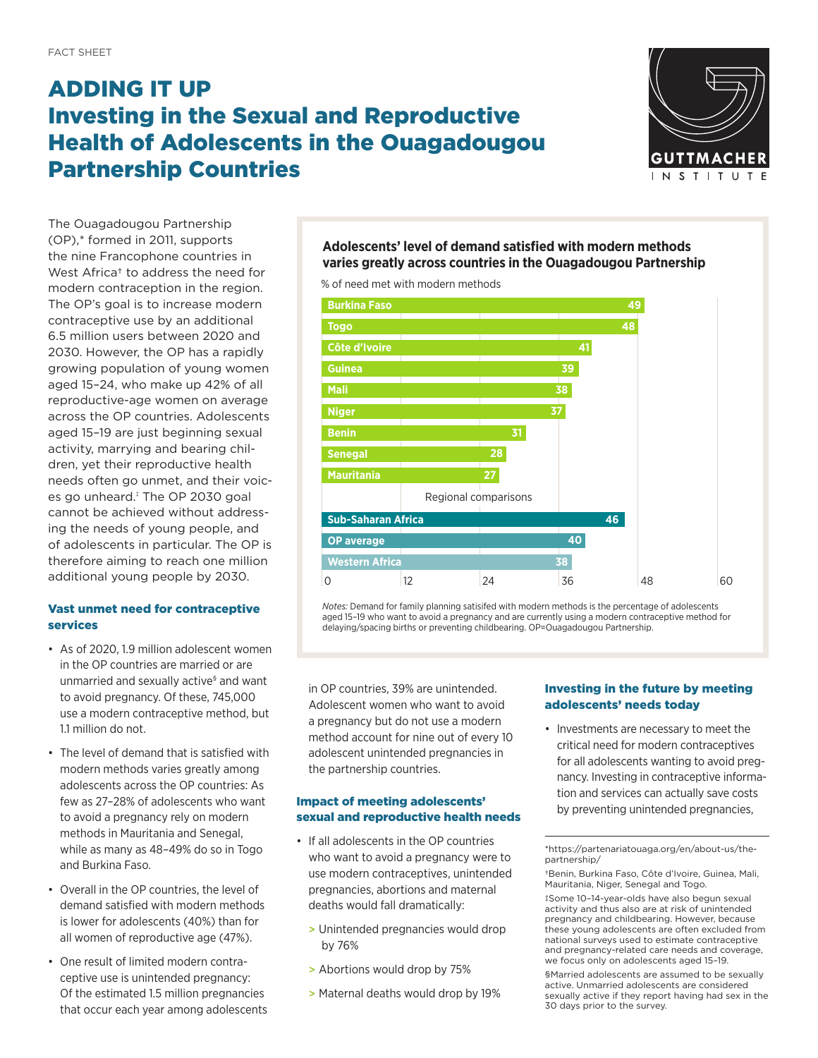# ADDING IT UP Investing in the Sexual and Reproductive Health of Adolescents in the Ouagadougou Partnership Countries



The Ouagadougou Partnership (OP),\* formed in 2011, supports the nine Francophone countries in West Africa<sup>+</sup> to address the need for modern contraception in the region. The OP's goal is to increase modern contraceptive use by an additional 6.5 million users between 2020 and 2030. However, the OP has a rapidly growing population of young women aged 15–24, who make up 42% of all reproductive-age women on average across the OP countries. Adolescents aged 15–19 are just beginning sexual activity, marrying and bearing children, yet their reproductive health needs often go unmet, and their voices go unheard.‡ The OP 2030 goal cannot be achieved without addressing the needs of young people, and of adolescents in particular. The OP is therefore aiming to reach one million additional young people by 2030.

# Vast unmet need for contraceptive services

- As of 2020, 1.9 million adolescent women in the OP countries are married or are unmarried and sexually active<sup>s</sup> and want to avoid pregnancy. Of these, 745,000 use a modern contraceptive method, but 1.1 million do not.
- The level of demand that is satisfied with modern methods varies greatly among adolescents across the OP countries: As few as 27–28% of adolescents who want **Imp** to avoid a pregnancy rely on modern methods in Mauritania and Senegal, while as many as 48–49% do so in Togo and Burkina Faso. Western Africa
- Overall in the OP countries, the level of demand satisfied with modern methods is lower for adolescents (40%) than for all women of reproductive age (47%).
- One result of limited modern contraceptive use is unintended pregnancy: Of the estimated 1.5 million pregnancies > that occur each year among adolescents

**Adolescents' level of demand satisfied with modern methods varies greatly across countries in the Ouagadougou Partnership**

% of need met with modern methods



*Notes:* Demand for family planning satisifed with modern methods is the percentage of adolescents aged 15–19 who want to avoid a pregnancy and are currently using a modern contraceptive method for delaying/spacing births or preventing childbearing. OP=Ouagadougou Partnership.

in OP countries, 39% are unintended. Adolescent women who want to avoid a pregnancy but do not use a modern method account for nine out of every 10 adolescent unintended pregnancies in the partnership countries.

# Impact of meeting adolescents' sexual and reproductive health needs

- $\cdot$  If all adolescents in the OP countries who want to avoid a pregnancy were to use modern contraceptives, unintended pregnancies, abortions and maternal deaths would fall dramatically:
- <sup>2</sup> > Unintended pregnancies would drop by 76%
	- > Abortions would drop by 75%
	- > Maternal deaths would drop by 19%

#### Investing in the future by meeting adolescents' needs today

• Investments are necessary to meet the critical need for modern contraceptives for all adolescents wanting to avoid pregnancy. Investing in contraceptive information and services can actually save costs by preventing unintended pregnancies,

\*https://partenariatouaga.org/en/about-us/thepartnership/

†Benin, Burkina Faso, Côte d'Ivoire, Guinea, Mali, Mauritania, Niger, Senegal and Togo.

‡Some 10–14-year-olds have also begun sexual activity and thus also are at risk of unintended pregnancy and childbearing. However, because these young adolescents are often excluded from national surveys used to estimate contraceptive and pregnancy-related care needs and coverage, we focus only on adolescents aged 15–19.

§Married adolescents are assumed to be sexually active. Unmarried adolescents are considered sexually active if they report having had sex in the 30 days prior to the survey.